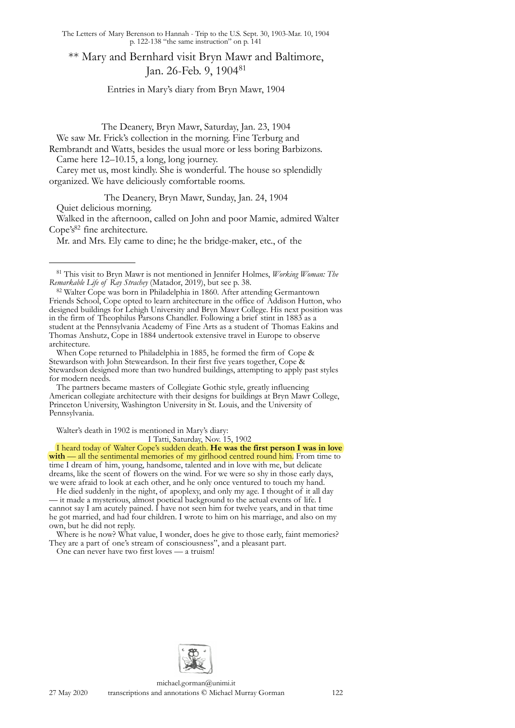\*\* Mary and Bernhard visit Bryn Mawr and Baltimore, Jan. 26-Feb. 9, 1904[81](#page-0-0)

Entries in Mary's diary from Bryn Mawr, 1904

The Deanery, Bryn Mawr, Saturday, Jan. 23, 1904

We saw Mr. Frick's collection in the morning. Fine Terburg and

Rembrandt and Watts, besides the usual more or less boring Barbizons. Came here 12–10.15, a long, long journey.

Carey met us, most kindly. She is wonderful. The house so splendidly organized. We have deliciously comfortable rooms.

The Deanery, Bryn Mawr, Sunday, Jan. 24, 1904 Quiet delicious morning.

Walked in the afternoon, called on John and poor Mamie, admired Walter Cope's<sup>82</sup> fine architecture.

Mr. and Mrs. Ely came to dine; he the bridge-maker, etc., of the

When Cope returned to Philadelphia in 1885, he formed the firm of Cope & Stewardson with John Steweardson. In their first five years together, Cope & Stewardson designed more than two hundred buildings, attempting to apply past styles for modern needs.

The partners became masters of Collegiate Gothic style, greatly influencing American collegiate architecture with their designs for buildings at Bryn Mawr College, Princeton University, Washington University in St. Louis, and the University of Pennsylvania.

Walter's death in 1902 is mentioned in Mary's diary:

I Tatti, Saturday, Nov. 15, 1902

I heard today of Walter Cope's sudden death. **He was the first person I was in love**  with — all the sentimental memories of my girlhood centred round him. From time to time I dream of him, young, handsome, talented and in love with me, but delicate dreams, like the scent of flowers on the wind. For we were so shy in those early days, we were afraid to look at each other, and he only once ventured to touch my hand.

He died suddenly in the night, of apoplexy, and only my age. I thought of it all day — it made a mysterious, almost poetical background to the actual events of life. I cannot say I am acutely pained. I have not seen him for twelve years, and in that time he got married, and had four children. I wrote to him on his marriage, and also on my own, but he did not reply.

Where is he now? What value, I wonder, does he give to those early, faint memories? They are a part of one's stream of consciousness", and a pleasant part.

One can never have two first loves — a truism!



<span id="page-0-0"></span><sup>81</sup> This visit to Bryn Mawr is not mentioned in Jennifer Holmes, *Working Woman: The Remarkable Life of Ray Strachey* (Matador, 2019), but see p. 38.

<span id="page-0-1"></span><sup>&</sup>lt;sup>82</sup> Walter Cope was born in Philadelphia in 1860. After attending Germantown Friends School, Cope opted to learn architecture in the office of Addison Hutton, who designed buildings for Lehigh University and Bryn Mawr College. His next position was in the firm of Theophilus Parsons Chandler. Following a brief stint in 1883 as a student at the Pennsylvania Academy of Fine Arts as a student of Thomas Eakins and Thomas Anshutz, Cope in 1884 undertook extensive travel in Europe to observe architecture.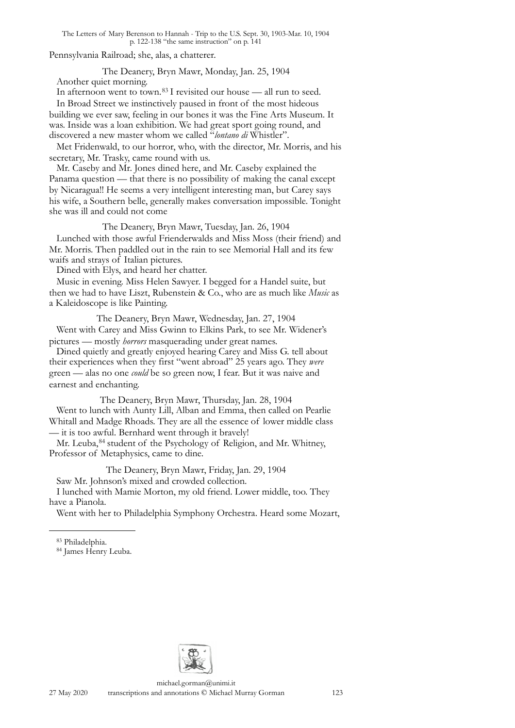Pennsylvania Railroad; she, alas, a chatterer.

The Deanery, Bryn Mawr, Monday, Jan. 25, 1904

Another quiet morning.

In afternoon went to town.[83](#page-1-0) I revisited our house — all run to seed.

In Broad Street we instinctively paused in front of the most hideous building we ever saw, feeling in our bones it was the Fine Arts Museum. It was. Inside was a loan exhibition. We had great sport going round, and discovered a new master whom we called "*lontano di* Whistler".

Met Fridenwald, to our horror, who, with the director, Mr. Morris, and his secretary, Mr. Trasky, came round with us.

Mr. Caseby and Mr. Jones dined here, and Mr. Caseby explained the Panama question — that there is no possibility of making the canal except by Nicaragua!! He seems a very intelligent interesting man, but Carey says his wife, a Southern belle, generally makes conversation impossible. Tonight she was ill and could not come

The Deanery, Bryn Mawr, Tuesday, Jan. 26, 1904 Lunched with those awful Frienderwalds and Miss Moss (their friend) and Mr. Morris. Then paddled out in the rain to see Memorial Hall and its few waifs and strays of Italian pictures.

Dined with Elys, and heard her chatter.

Music in evening. Miss Helen Sawyer. I begged for a Handel suite, but then we had to have Liszt, Rubenstein & Co., who are as much like *Music* as a Kaleidoscope is like Painting.

The Deanery, Bryn Mawr, Wednesday, Jan. 27, 1904 Went with Carey and Miss Gwinn to Elkins Park, to see Mr. Widener's pictures — mostly *horrors* masquerading under great names.

Dined quietly and greatly enjoyed hearing Carey and Miss G. tell about their experiences when they first "went abroad" 25 years ago. They *were* green — alas no one *could* be so green now, I fear. But it was naive and earnest and enchanting.

The Deanery, Bryn Mawr, Thursday, Jan. 28, 1904 Went to lunch with Aunty Lill, Alban and Emma, then called on Pearlie Whitall and Madge Rhoads. They are all the essence of lower middle class — it is too awful. Bernhard went through it bravely!

Mr. Leuba, <sup>84</sup> student of the Psychology of Religion, and Mr. Whitney, Professor of Metaphysics, came to dine.

The Deanery, Bryn Mawr, Friday, Jan. 29, 1904 Saw Mr. Johnson's mixed and crowded collection.

I lunched with Mamie Morton, my old friend. Lower middle, too. They have a Pianola.

Went with her to Philadelphia Symphony Orchestra. Heard some Mozart,



<span id="page-1-0"></span><sup>83</sup> Philadelphia.

<span id="page-1-1"></span><sup>84</sup> James Henry Leuba.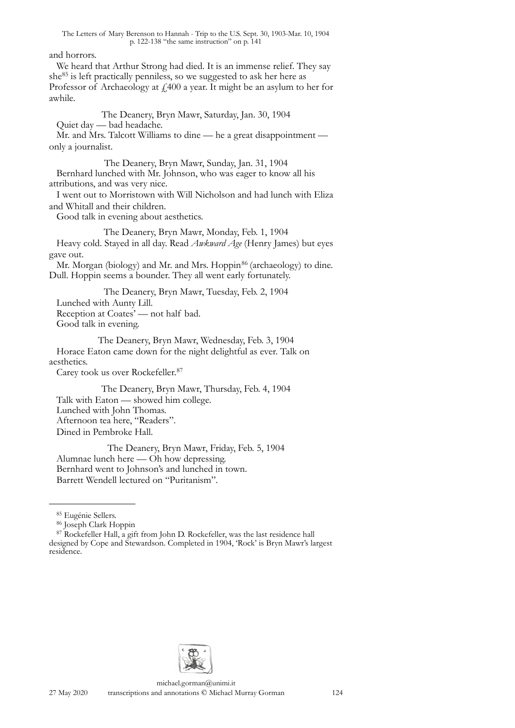### and horrors.

We heard that Arthur Strong had died. It is an immense relief. They say she[85](#page-2-0) is left practically penniless, so we suggested to ask her here as Professor of Archaeology at  $f$  400 a year. It might be an asylum to her for awhile.

The Deanery, Bryn Mawr, Saturday, Jan. 30, 1904

Quiet day — bad headache.

Mr. and Mrs. Talcott Williams to dine — he a great disappointment only a journalist.

The Deanery, Bryn Mawr, Sunday, Jan. 31, 1904 Bernhard lunched with Mr. Johnson, who was eager to know all his attributions, and was very nice.

I went out to Morristown with Will Nicholson and had lunch with Eliza and Whitall and their children.

Good talk in evening about aesthetics.

The Deanery, Bryn Mawr, Monday, Feb. 1, 1904

Heavy cold. Stayed in all day. Read *Awkward Age* (Henry James) but eyes gave out.

Mr. Morgan (biology) and Mr. and Mrs. Hoppin<sup>86</sup> (archaeology) to dine. Dull. Hoppin seems a bounder. They all went early fortunately.

The Deanery, Bryn Mawr, Tuesday, Feb. 2, 1904 Lunched with Aunty Lill. Reception at Coates' — not half bad. Good talk in evening.

The Deanery, Bryn Mawr, Wednesday, Feb. 3, 1904 Horace Eaton came down for the night delightful as ever. Talk on aesthetics.

Carey took us over Rockefeller.[87](#page-2-2)

The Deanery, Bryn Mawr, Thursday, Feb. 4, 1904 Talk with Eaton — showed him college. Lunched with John Thomas. Afternoon tea here, "Readers". Dined in Pembroke Hall.

The Deanery, Bryn Mawr, Friday, Feb. 5, 1904 Alumnae lunch here — Oh how depressing. Bernhard went to Johnson's and lunched in town. Barrett Wendell lectured on "Puritanism".



<span id="page-2-0"></span><sup>85</sup> Eugénie Sellers.

<span id="page-2-1"></span><sup>86</sup> Joseph Clark Hoppin

<span id="page-2-2"></span> $87$  Rockefeller Hall, a gift from John D. Rockefeller, was the last residence hall designed by Cope and Stewardson. Completed in 1904, 'Rock' is Bryn Mawr's largest residence.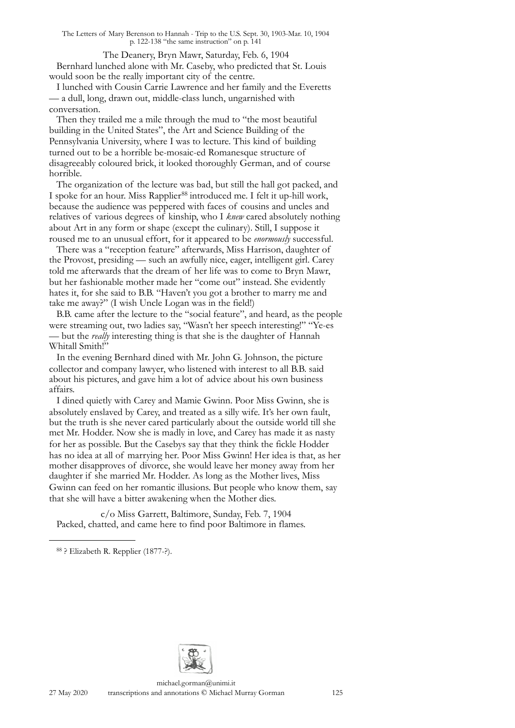The Deanery, Bryn Mawr, Saturday, Feb. 6, 1904 Bernhard lunched alone with Mr. Caseby, who predicted that St. Louis would soon be the really important city of the centre.

I lunched with Cousin Carrie Lawrence and her family and the Everetts — a dull, long, drawn out, middle-class lunch, ungarnished with conversation.

Then they trailed me a mile through the mud to "the most beautiful building in the United States", the Art and Science Building of the Pennsylvania University, where I was to lecture. This kind of building turned out to be a horrible be-mosaic-ed Romanesque structure of disagreeably coloured brick, it looked thoroughly German, and of course horrible.

The organization of the lecture was bad, but still the hall got packed, and I spoke for an hour. Miss Rapplier<sup>88</sup> introduced me. I felt it up-hill work, because the audience was peppered with faces of cousins and uncles and relatives of various degrees of kinship, who I *knew* cared absolutely nothing about Art in any form or shape (except the culinary). Still, I suppose it roused me to an unusual effort, for it appeared to be *enormously* successful.

There was a "reception feature" afterwards, Miss Harrison, daughter of the Provost, presiding — such an awfully nice, eager, intelligent girl. Carey told me afterwards that the dream of her life was to come to Bryn Mawr, but her fashionable mother made her "come out" instead. She evidently hates it, for she said to B.B. "Haven't you got a brother to marry me and take me away?" (I wish Uncle Logan was in the field!)

B.B. came after the lecture to the "social feature", and heard, as the people were streaming out, two ladies say, "Wasn't her speech interesting!" "Ye-es — but the *really* interesting thing is that she is the daughter of Hannah Whitall Smith!"

In the evening Bernhard dined with Mr. John G. Johnson, the picture collector and company lawyer, who listened with interest to all B.B. said about his pictures, and gave him a lot of advice about his own business affairs.

I dined quietly with Carey and Mamie Gwinn. Poor Miss Gwinn, she is absolutely enslaved by Carey, and treated as a silly wife. It's her own fault, but the truth is she never cared particularly about the outside world till she met Mr. Hodder. Now she is madly in love, and Carey has made it as nasty for her as possible. But the Casebys say that they think the fickle Hodder has no idea at all of marrying her. Poor Miss Gwinn! Her idea is that, as her mother disapproves of divorce, she would leave her money away from her daughter if she married Mr. Hodder. As long as the Mother lives, Miss Gwinn can feed on her romantic illusions. But people who know them, say that she will have a bitter awakening when the Mother dies.

c/o Miss Garrett, Baltimore, Sunday, Feb. 7, 1904 Packed, chatted, and came here to find poor Baltimore in flames.



<span id="page-3-0"></span><sup>88 ?</sup> Elizabeth R. Repplier (1877-?).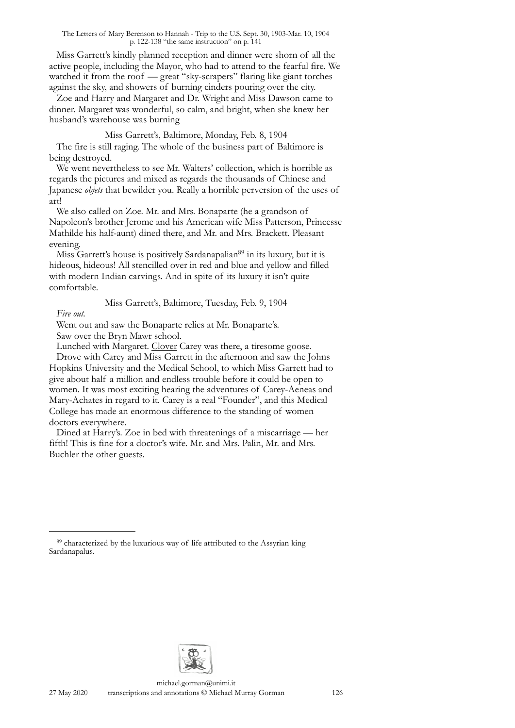Miss Garrett's kindly planned reception and dinner were shorn of all the active people, including the Mayor, who had to attend to the fearful fire. We watched it from the roof — great "sky-scrapers" flaring like giant torches against the sky, and showers of burning cinders pouring over the city.

Zoe and Harry and Margaret and Dr. Wright and Miss Dawson came to dinner. Margaret was wonderful, so calm, and bright, when she knew her husband's warehouse was burning

Miss Garrett's, Baltimore, Monday, Feb. 8, 1904 The fire is still raging. The whole of the business part of Baltimore is being destroyed.

We went nevertheless to see Mr. Walters' collection, which is horrible as regards the pictures and mixed as regards the thousands of Chinese and Japanese *objets* that bewilder you. Really a horrible perversion of the uses of art!

We also called on Zoe. Mr. and Mrs. Bonaparte (he a grandson of Napoleon's brother Jerome and his American wife Miss Patterson, Princesse Mathilde his half-aunt) dined there, and Mr. and Mrs. Brackett. Pleasant evening.

Miss Garrett's house is positively Sardanapalian<sup>89</sup> in its luxury, but it is hideous, hideous! All stencilled over in red and blue and yellow and filled with modern Indian carvings. And in spite of its luxury it isn't quite comfortable.

Miss Garrett's, Baltimore, Tuesday, Feb. 9, 1904

# *Fire out.*

Went out and saw the Bonaparte relics at Mr. Bonaparte's. Saw over the Bryn Mawr school.

Lunched with Margaret. Clover Carey was there, a tiresome goose.

Drove with Carey and Miss Garrett in the afternoon and saw the Johns Hopkins University and the Medical School, to which Miss Garrett had to give about half a million and endless trouble before it could be open to women. It was most exciting hearing the adventures of Carey-Aeneas and Mary-Achates in regard to it. Carey is a real "Founder", and this Medical College has made an enormous difference to the standing of women doctors everywhere.

Dined at Harry's. Zoe in bed with threatenings of a miscarriage — her fifth! This is fine for a doctor's wife. Mr. and Mrs. Palin, Mr. and Mrs. Buchler the other guests.



<span id="page-4-0"></span><sup>89</sup> characterized by the luxurious way of life attributed to the Assyrian king Sardanapalus.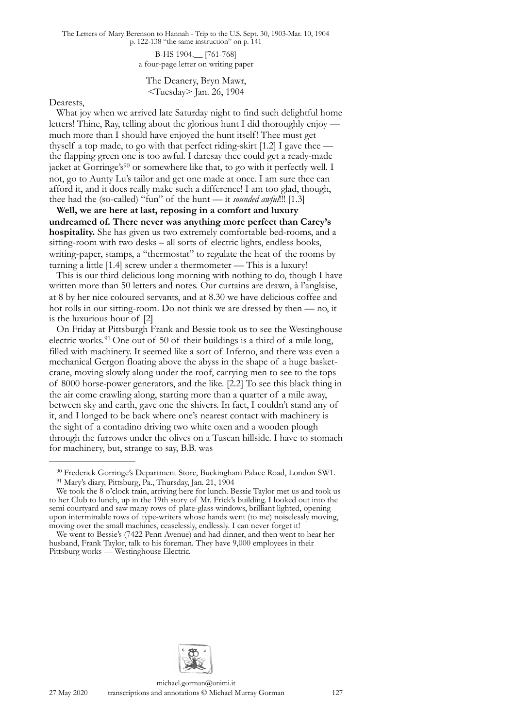> B-HS 1904.\_\_ [761-768] a four-page letter on writing paper

The Deanery, Bryn Mawr, <Tuesday> Jan. 26, 1904

#### Dearests,

What joy when we arrived late Saturday night to find such delightful home letters! Thine, Ray, telling about the glorious hunt I did thoroughly enjoy much more than I should have enjoyed the hunt itself! Thee must get thyself a top made, to go with that perfect riding-skirt [1.2] I gave thee the flapping green one is too awful. I daresay thee could get a ready-made jacket at Gorringe's<sup>90</sup> or somewhere like that, to go with it perfectly well. I not, go to Aunty Lu's tailor and get one made at once. I am sure thee can afford it, and it does really make such a difference! I am too glad, though, thee had the (so-called) "fun" of the hunt — it *sounded awful*!!! [1.3]

**Well, we are here at last, reposing in a comfort and luxury undreamed of. There never was anything more perfect than Carey's hospitality.** She has given us two extremely comfortable bed-rooms, and a sitting-room with two desks – all sorts of electric lights, endless books, writing-paper, stamps, a "thermostat" to regulate the heat of the rooms by turning a little [1.4] screw under a thermometer — This is a luxury!

This is our third delicious long morning with nothing to do, though I have written more than 50 letters and notes. Our curtains are drawn, à l'anglaise, at 8 by her nice coloured servants, and at 8.30 we have delicious coffee and hot rolls in our sitting-room. Do not think we are dressed by then — no, it is the luxurious hour of [2]

On Friday at Pittsburgh Frank and Bessie took us to see the Westinghouse electric works.<sup>[91](#page-5-1)</sup> One out of 50 of their buildings is a third of a mile long, filled with machinery. It seemed like a sort of Inferno, and there was even a mechanical Gergon floating above the abyss in the shape of a huge basketcrane, moving slowly along under the roof, carrying men to see to the tops of 8000 horse-power generators, and the like. [2.2] To see this black thing in the air come crawling along, starting more than a quarter of a mile away, between sky and earth, gave one the shivers. In fact, I couldn't stand any of it, and I longed to be back where one's nearest contact with machinery is the sight of a contadino driving two white oxen and a wooden plough through the furrows under the olives on a Tuscan hillside. I have to stomach for machinery, but, strange to say, B.B. was



<span id="page-5-1"></span><span id="page-5-0"></span><sup>90</sup> Frederick Gorringe's Department Store, Buckingham Palace Road, London SW1. 91 Mary's diary, Pittsburg, Pa., Thursday, Jan. 21, 1904

We took the 8 o'clock train, arriving here for lunch. Bessie Taylor met us and took us to her Club to lunch, up in the 19th story of Mr. Frick's building. I looked out into the semi courtyard and saw many rows of plate-glass windows, brilliant lighted, opening upon interminable rows of type-writers whose hands went (to me) noiselessly moving, moving over the small machines, ceaselessly, endlessly. I can never forget it!

We went to Bessie's (7422 Penn Avenue) and had dinner, and then went to hear her husband, Frank Taylor, talk to his foreman. They have 9,000 employees in their Pittsburg works — Westinghouse Electric.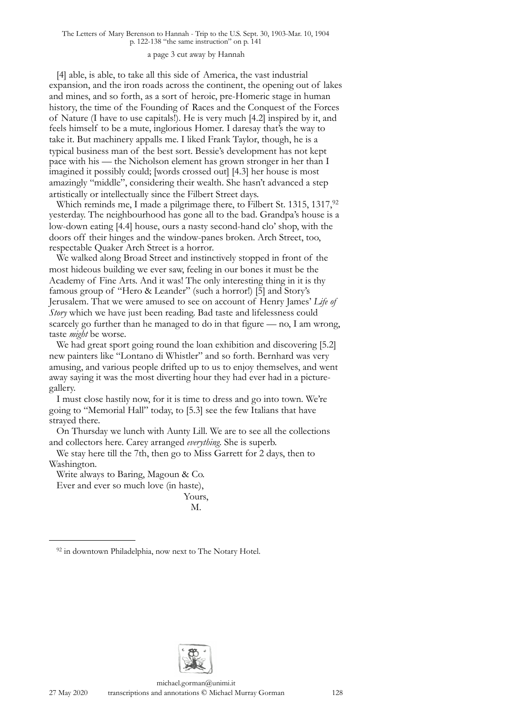#### a page 3 cut away by Hannah

[4] able, is able, to take all this side of America, the vast industrial expansion, and the iron roads across the continent, the opening out of lakes and mines, and so forth, as a sort of heroic, pre-Homeric stage in human history, the time of the Founding of Races and the Conquest of the Forces of Nature (I have to use capitals!). He is very much [4.2] inspired by it, and feels himself to be a mute, inglorious Homer. I daresay that's the way to take it. But machinery appalls me. I liked Frank Taylor, though, he is a typical business man of the best sort. Bessie's development has not kept pace with his — the Nicholson element has grown stronger in her than I imagined it possibly could; [words crossed out] [4.3] her house is most amazingly "middle", considering their wealth. She hasn't advanced a step artistically or intellectually since the Filbert Street days.

Which reminds me, I made a pilgrimage there, to Filbert St. 1315, 1317,<sup>92</sup> yesterday. The neighbourhood has gone all to the bad. Grandpa's house is a low-down eating [4.4] house, ours a nasty second-hand clo' shop, with the doors off their hinges and the window-panes broken. Arch Street, too, respectable Quaker Arch Street is a horror.

We walked along Broad Street and instinctively stopped in front of the most hideous building we ever saw, feeling in our bones it must be the Academy of Fine Arts. And it was! The only interesting thing in it is thy famous group of "Hero & Leander" (such a horror!) [5] and Story's Jerusalem. That we were amused to see on account of Henry James' *Life of Story* which we have just been reading. Bad taste and lifelessness could scarcely go further than he managed to do in that figure — no, I am wrong, taste *might* be worse.

We had great sport going round the loan exhibition and discovering [5.2] new painters like "Lontano di Whistler" and so forth. Bernhard was very amusing, and various people drifted up to us to enjoy themselves, and went away saying it was the most diverting hour they had ever had in a picturegallery.

I must close hastily now, for it is time to dress and go into town. We're going to "Memorial Hall" today, to [5.3] see the few Italians that have strayed there.

On Thursday we lunch with Aunty Lill. We are to see all the collections and collectors here. Carey arranged *everything*. She is superb.

We stay here till the 7th, then go to Miss Garrett for 2 days, then to Washington.

Write always to Baring, Magoun & Co.

Ever and ever so much love (in haste),

Yours, M.



<span id="page-6-0"></span><sup>&</sup>lt;sup>92</sup> in downtown Philadelphia, now next to The Notary Hotel.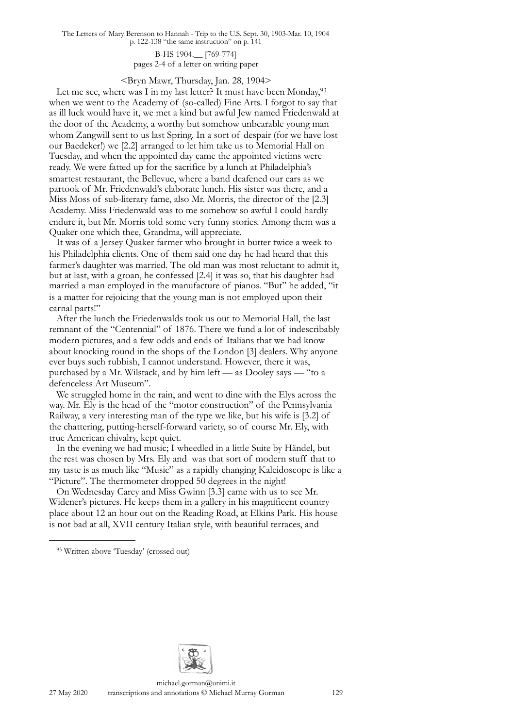> B-HS 1904.\_\_ [769-774] pages 2-4 of a letter on writing paper

## <Bryn Mawr, Thursday, Jan. 28, 1904>

Let me see, where was I in my last letter? It must have been Monday,  $93$ when we went to the Academy of (so-called) Fine Arts. I forgot to say that as ill luck would have it, we met a kind but awful Jew named Friedenwald at the door of the Academy, a worthy but somehow unbearable young man whom Zangwill sent to us last Spring. In a sort of despair (for we have lost our Baedeker!) we [2.2] arranged to let him take us to Memorial Hall on Tuesday, and when the appointed day came the appointed victims were ready. We were fatted up for the sacrifice by a lunch at Philadelphia's smartest restaurant, the Bellevue, where a band deafened our ears as we partook of Mr. Friedenwald's elaborate lunch. His sister was there, and a Miss Moss of sub-literary fame, also Mr. Morris, the director of the [2.3] Academy. Miss Friedenwald was to me somehow so awful I could hardly endure it, but Mr. Morris told some very funny stories. Among them was a Quaker one which thee, Grandma, will appreciate.

It was of a Jersey Quaker farmer who brought in butter twice a week to his Philadelphia clients. One of them said one day he had heard that this farmer's daughter was married. The old man was most reluctant to admit it, but at last, with a groan, he confessed [2.4] it was so, that his daughter had married a man employed in the manufacture of pianos. "But" he added, "it is a matter for rejoicing that the young man is not employed upon their carnal parts!"

After the lunch the Friedenwalds took us out to Memorial Hall, the last remnant of the "Centennial" of 1876. There we fund a lot of indescribably modern pictures, and a few odds and ends of Italians that we had know about knocking round in the shops of the London [3] dealers. Why anyone ever buys such rubbish, I cannot understand. However, there it was, purchased by a Mr. Wilstack, and by him left — as Dooley says — "to a defenceless Art Museum".

We struggled home in the rain, and went to dine with the Elys across the way. Mr. Ely is the head of the "motor construction" of the Pennsylvania Railway, a very interesting man of the type we like, but his wife is [3.2] of the chattering, putting-herself-forward variety, so of course Mr. Ely, with true American chivalry, kept quiet.

In the evening we had music; I wheedled in a little Suite by Händel, but the rest was chosen by Mrs. Ely and was that sort of modern stuff that to my taste is as much like "Music" as a rapidly changing Kaleidoscope is like a "Picture". The thermometer dropped 50 degrees in the night!

On Wednesday Carey and Miss Gwinn [3.3] came with us to see Mr. Widener's pictures. He keeps them in a gallery in his magnificent country place about 12 an hour out on the Reading Road, at Elkins Park. His house is not bad at all, XVII century Italian style, with beautiful terraces, and



<span id="page-7-0"></span><sup>93</sup> Written above 'Tuesday' (crossed out)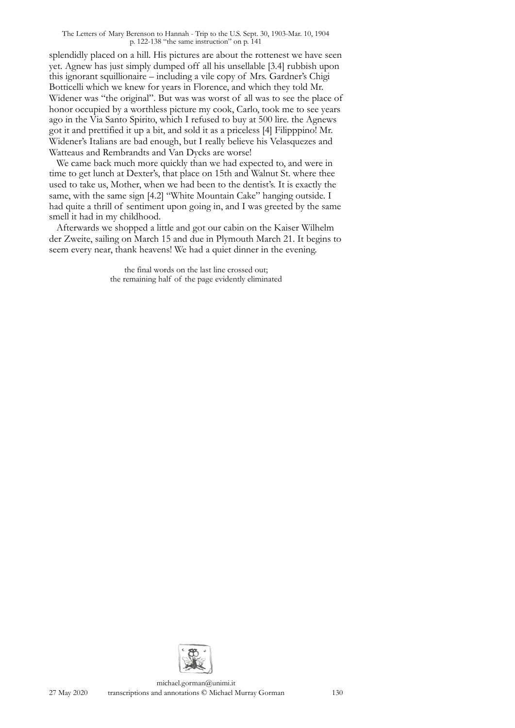splendidly placed on a hill. His pictures are about the rottenest we have seen yet. Agnew has just simply dumped off all his unsellable [3.4] rubbish upon this ignorant squillionaire – including a vile copy of Mrs. Gardner's Chigi Botticelli which we knew for years in Florence, and which they told Mr. Widener was "the original". But was was worst of all was to see the place of honor occupied by a worthless picture my cook, Carlo, took me to see years ago in the Via Santo Spirito, which I refused to buy at 500 lire. the Agnews got it and prettified it up a bit, and sold it as a priceless [4] Filipppino! Mr. Widener's Italians are bad enough, but I really believe his Velasquezes and Watteaus and Rembrandts and Van Dycks are worse!

We came back much more quickly than we had expected to, and were in time to get lunch at Dexter's, that place on 15th and Walnut St. where thee used to take us, Mother, when we had been to the dentist's. It is exactly the same, with the same sign [4.2] "White Mountain Cake" hanging outside. I had quite a thrill of sentiment upon going in, and I was greeted by the same smell it had in my childhood.

Afterwards we shopped a little and got our cabin on the Kaiser Wilhelm der Zweite, sailing on March 15 and due in Plymouth March 21. It begins to seem every near, thank heavens! We had a quiet dinner in the evening.

> the final words on the last line crossed out; the remaining half of the page evidently eliminated

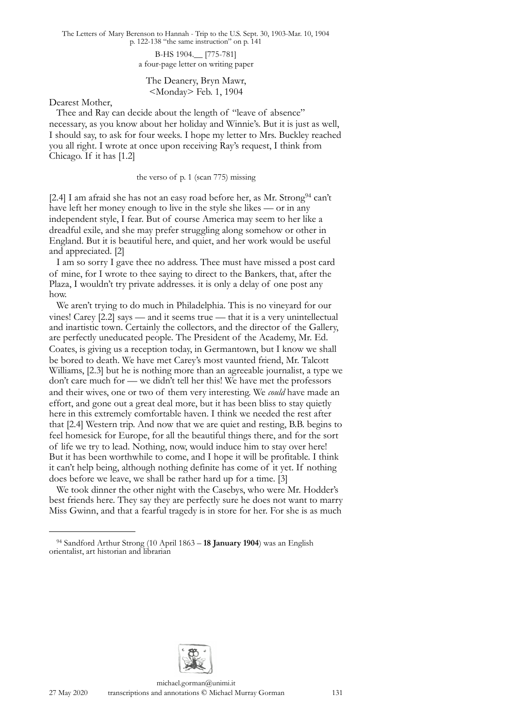> B-HS 1904.\_\_ [775-781] a four-page letter on writing paper

The Deanery, Bryn Mawr, <Monday> Feb. 1, 1904

Dearest Mother,

Thee and Ray can decide about the length of "leave of absence" necessary, as you know about her holiday and Winnie's. But it is just as well, I should say, to ask for four weeks. I hope my letter to Mrs. Buckley reached you all right. I wrote at once upon receiving Ray's request, I think from Chicago. If it has [1.2]

the verso of p. 1 (scan 775) missing

[2.4] I am afraid she has not an easy road before her, as Mr. Strong<sup>94</sup> can't have left her money enough to live in the style she likes — or in any independent style, I fear. But of course America may seem to her like a dreadful exile, and she may prefer struggling along somehow or other in England. But it is beautiful here, and quiet, and her work would be useful and appreciated. [2]

I am so sorry I gave thee no address. Thee must have missed a post card of mine, for I wrote to thee saying to direct to the Bankers, that, after the Plaza, I wouldn't try private addresses. it is only a delay of one post any how.

We aren't trying to do much in Philadelphia. This is no vineyard for our vines! Carey [2.2] says — and it seems true — that it is a very unintellectual and inartistic town. Certainly the collectors, and the director of the Gallery, are perfectly uneducated people. The President of the Academy, Mr. Ed. Coates, is giving us a reception today, in Germantown, but I know we shall be bored to death. We have met Carey's most vaunted friend, Mr. Talcott Williams, [2.3] but he is nothing more than an agreeable journalist, a type we don't care much for — we didn't tell her this! We have met the professors and their wives, one or two of them very interesting. We *could* have made an effort, and gone out a great deal more, but it has been bliss to stay quietly here in this extremely comfortable haven. I think we needed the rest after that [2.4] Western trip. And now that we are quiet and resting, B.B. begins to feel homesick for Europe, for all the beautiful things there, and for the sort of life we try to lead. Nothing, now, would induce him to stay over here! But it has been worthwhile to come, and I hope it will be profitable. I think it can't help being, although nothing definite has come of it yet. If nothing does before we leave, we shall be rather hard up for a time. [3]

We took dinner the other night with the Casebys, who were Mr. Hodder's best friends here. They say they are perfectly sure he does not want to marry Miss Gwinn, and that a fearful tragedy is in store for her. For she is as much



<span id="page-9-0"></span><sup>94</sup> Sandford Arthur Strong (10 April 1863 – **18 January 1904**) was an English [orientalist,](https://en.wikipedia.org/wiki/Oriental_studies) art historian and librarian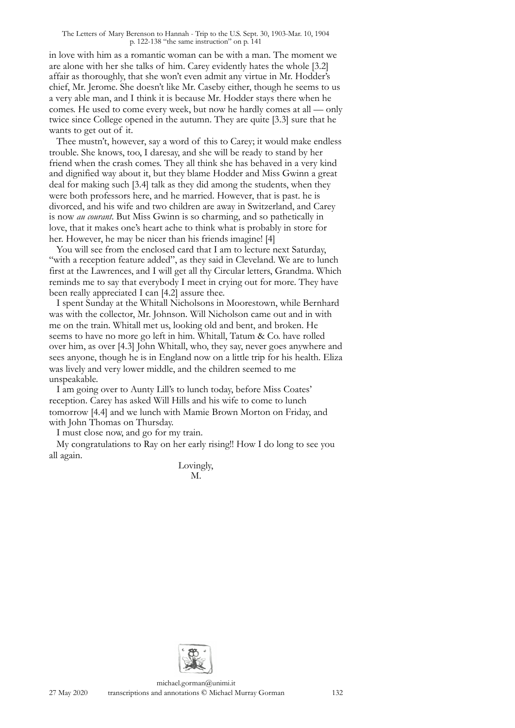in love with him as a romantic woman can be with a man. The moment we are alone with her she talks of him. Carey evidently hates the whole [3.2] affair as thoroughly, that she won't even admit any virtue in Mr. Hodder's chief, Mr. Jerome. She doesn't like Mr. Caseby either, though he seems to us a very able man, and I think it is because Mr. Hodder stays there when he comes. He used to come every week, but now he hardly comes at all — only twice since College opened in the autumn. They are quite [3.3] sure that he wants to get out of it.

Thee mustn't, however, say a word of this to Carey; it would make endless trouble. She knows, too, I daresay, and she will be ready to stand by her friend when the crash comes. They all think she has behaved in a very kind and dignified way about it, but they blame Hodder and Miss Gwinn a great deal for making such [3.4] talk as they did among the students, when they were both professors here, and he married. However, that is past. he is divorced, and his wife and two children are away in Switzerland, and Carey is now *au courant*. But Miss Gwinn is so charming, and so pathetically in love, that it makes one's heart ache to think what is probably in store for her. However, he may be nicer than his friends imagine! [4]

You will see from the enclosed card that I am to lecture next Saturday, "with a reception feature added", as they said in Cleveland. We are to lunch first at the Lawrences, and I will get all thy Circular letters, Grandma. Which reminds me to say that everybody I meet in crying out for more. They have been really appreciated I can [4.2] assure thee.

I spent Sunday at the Whitall Nicholsons in Moorestown, while Bernhard was with the collector, Mr. Johnson. Will Nicholson came out and in with me on the train. Whitall met us, looking old and bent, and broken. He seems to have no more go left in him. Whitall, Tatum & Co. have rolled over him, as over [4.3] John Whitall, who, they say, never goes anywhere and sees anyone, though he is in England now on a little trip for his health. Eliza was lively and very lower middle, and the children seemed to me unspeakable.

I am going over to Aunty Lill's to lunch today, before Miss Coates' reception. Carey has asked Will Hills and his wife to come to lunch tomorrow [4.4] and we lunch with Mamie Brown Morton on Friday, and with John Thomas on Thursday.

I must close now, and go for my train.

My congratulations to Ray on her early rising!! How I do long to see you all again.

> Lovingly, M.

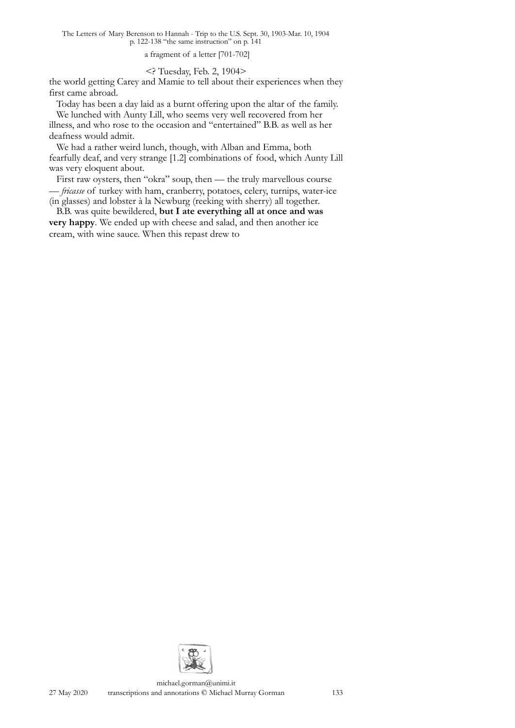a fragment of a letter [701-702]

## <? Tuesday, Feb. 2, 1904>

the world getting Carey and Mamie to tell about their experiences when they first came abroad.

Today has been a day laid as a burnt offering upon the altar of the family. We lunched with Aunty Lill, who seems very well recovered from her

illness, and who rose to the occasion and "entertained" B.B. as well as her deafness would admit.

We had a rather weird lunch, though, with Alban and Emma, both fearfully deaf, and very strange [1.2] combinations of food, which Aunty Lill was very eloquent about.

First raw oysters, then "okra" soup, then — the truly marvellous course — *fricasse* of turkey with ham, cranberry, potatoes, celery, turnips, water-ice (in glasses) and lobster à la Newburg (reeking with sherry) all together.

B.B. was quite bewildered, **but I ate everything all at once and was very happy**. We ended up with cheese and salad, and then another ice cream, with wine sauce. When this repast drew to

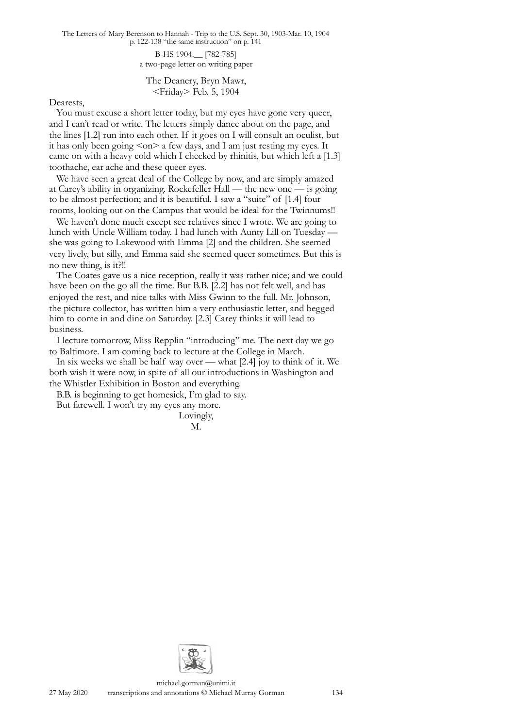> B-HS 1904.\_\_ [782-785] a two-page letter on writing paper

The Deanery, Bryn Mawr, <Friday> Feb. 5, 1904

Dearests,

You must excuse a short letter today, but my eyes have gone very queer, and I can't read or write. The letters simply dance about on the page, and the lines [1.2] run into each other. If it goes on I will consult an oculist, but it has only been going  $\langle$ on $\rangle$  a few days, and I am just resting my eyes. It came on with a heavy cold which I checked by rhinitis, but which left a [1.3] toothache, ear ache and these queer eyes.

We have seen a great deal of the College by now, and are simply amazed at Carey's ability in organizing. Rockefeller Hall — the new one — is going to be almost perfection; and it is beautiful. I saw a "suite" of [1.4] four rooms, looking out on the Campus that would be ideal for the Twinnums!!

We haven't done much except see relatives since I wrote. We are going to lunch with Uncle William today. I had lunch with Aunty Lill on Tuesday she was going to Lakewood with Emma [2] and the children. She seemed very lively, but silly, and Emma said she seemed queer sometimes. But this is no new thing, is it?!!

The Coates gave us a nice reception, really it was rather nice; and we could have been on the go all the time. But B.B. [2.2] has not felt well, and has enjoyed the rest, and nice talks with Miss Gwinn to the full. Mr. Johnson, the picture collector, has written him a very enthusiastic letter, and begged him to come in and dine on Saturday. [2.3] Carey thinks it will lead to business.

I lecture tomorrow, Miss Repplin "introducing" me. The next day we go to Baltimore. I am coming back to lecture at the College in March.

In six weeks we shall be half way over — what [2.4] joy to think of it. We both wish it were now, in spite of all our introductions in Washington and the Whistler Exhibition in Boston and everything.

B.B. is beginning to get homesick, I'm glad to say.

But farewell. I won't try my eyes any more. Lovingly,

M.

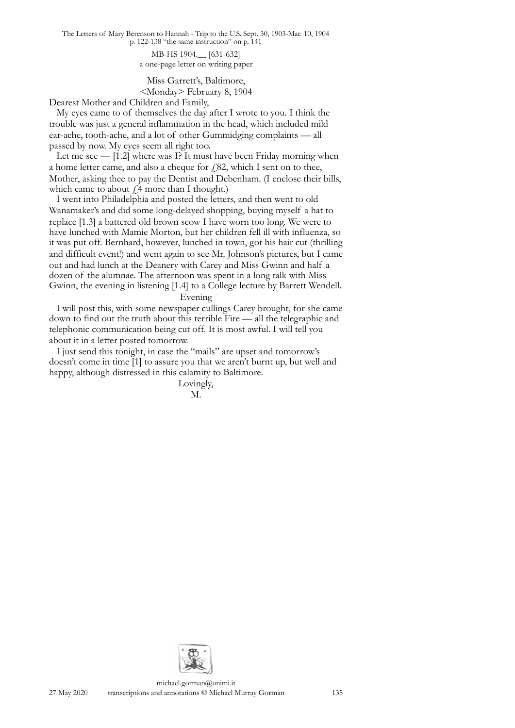> MB-HS 1904.\_\_ [631-632] a one-page letter on writing paper

Miss Garrett's, Baltimore, <Monday> February 8, 1904

Dearest Mother and Children and Family,

My eyes came to of themselves the day after I wrote to you. I think the trouble was just a general inflammation in the head, which included mild ear-ache, tooth-ache, and a lot of other Gummidging complaints — all passed by now. My eyes seem all right too.

Let me see — [1.2] where was I? It must have been Friday morning when a home letter came, and also a cheque for  $f$ , 82, which I sent on to thee, Mother, asking thee to pay the Dentist and Debenham. (I enclose their bills, which came to about  $\ell$ 4 more than I thought.)

I went into Philadelphia and posted the letters, and then went to old Wanamaker's and did some long-delayed shopping, buying myself a hat to replace [1.3] a battered old brown scow I have worn too long. We were to have lunched with Mamie Morton, but her children fell ill with influenza, so it was put off. Bernhard, however, lunched in town, got his hair cut (thrilling and difficult event!) and went again to see Mr. Johnson's pictures, but I came out and had lunch at the Deanery with Carey and Miss Gwinn and half a dozen of the alumnae. The afternoon was spent in a long talk with Miss Gwinn, the evening in listening [1.4] to a College lecture by Barrett Wendell.

## Evening

I will post this, with some newspaper cullings Carey brought, for she came down to find out the truth about this terrible Fire — all the telegraphic and telephonic communication being cut off. It is most awful. I will tell you about it in a letter posted tomorrow.

I just send this tonight, in case the "mails" are upset and tomorrow's doesn't come in time [1] to assure you that we aren't burnt up, but well and happy, although distressed in this calamity to Baltimore.

> Lovingly, M.

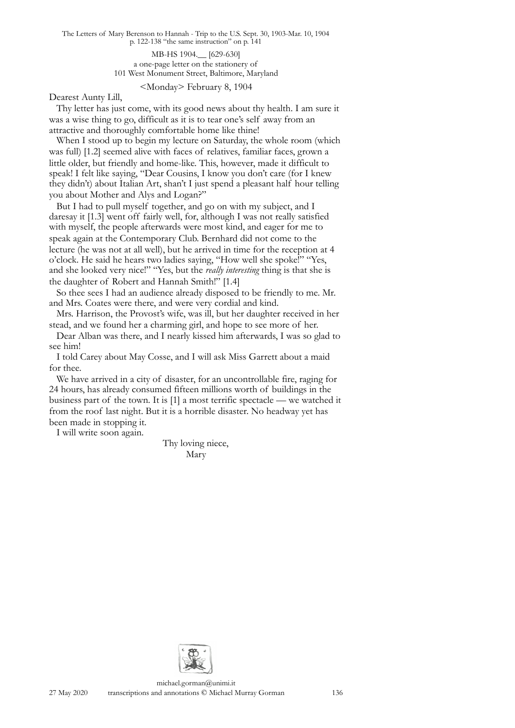> MB-HS 1904.\_\_ [629-630] a one-page letter on the stationery of 101 West Monument Street, Baltimore, Maryland

> > <Monday> February 8, 1904

Dearest Aunty Lill,

Thy letter has just come, with its good news about thy health. I am sure it was a wise thing to go, difficult as it is to tear one's self away from an attractive and thoroughly comfortable home like thine!

When I stood up to begin my lecture on Saturday, the whole room (which was full) [1.2] seemed alive with faces of relatives, familiar faces, grown a little older, but friendly and home-like. This, however, made it difficult to speak! I felt like saying, "Dear Cousins, I know you don't care (for I knew they didn't) about Italian Art, shan't I just spend a pleasant half hour telling you about Mother and Alys and Logan?"

But I had to pull myself together, and go on with my subject, and I daresay it [1.3] went off fairly well, for, although I was not really satisfied with myself, the people afterwards were most kind, and eager for me to speak again at the Contemporary Club. Bernhard did not come to the lecture (he was not at all well), but he arrived in time for the reception at 4 o'clock. He said he hears two ladies saying, "How well she spoke!" "Yes, and she looked very nice!" "Yes, but the *really interesting* thing is that she is the daughter of Robert and Hannah Smith!" [1.4]

So thee sees I had an audience already disposed to be friendly to me. Mr. and Mrs. Coates were there, and were very cordial and kind.

Mrs. Harrison, the Provost's wife, was ill, but her daughter received in her stead, and we found her a charming girl, and hope to see more of her.

Dear Alban was there, and I nearly kissed him afterwards, I was so glad to see him!

I told Carey about May Cosse, and I will ask Miss Garrett about a maid for thee.

We have arrived in a city of disaster, for an uncontrollable fire, raging for 24 hours, has already consumed fifteen millions worth of buildings in the business part of the town. It is [1] a most terrific spectacle — we watched it from the roof last night. But it is a horrible disaster. No headway yet has been made in stopping it.

I will write soon again.

Thy loving niece, Mary

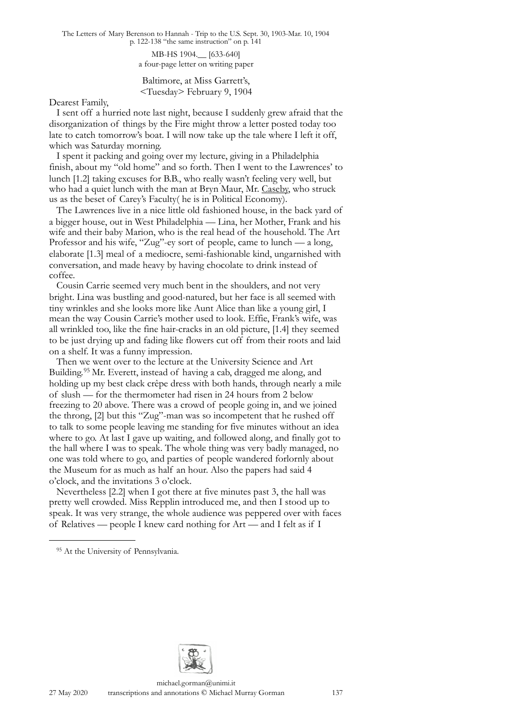MB-HS 1904.\_\_ [633-640] a four-page letter on writing paper

Baltimore, at Miss Garrett's, <Tuesday> February 9, 1904

Dearest Family,

I sent off a hurried note last night, because I suddenly grew afraid that the disorganization of things by the Fire might throw a letter posted today too late to catch tomorrow's boat. I will now take up the tale where I left it off, which was Saturday morning.

I spent it packing and going over my lecture, giving in a Philadelphia finish, about my "old home" and so forth. Then I went to the Lawrences' to lunch [1.2] taking excuses for B.B., who really wasn't feeling very well, but who had a quiet lunch with the man at Bryn Maur, Mr. Caseby, who struck us as the beset of Carey's Faculty( he is in Political Economy).

The Lawrences live in a nice little old fashioned house, in the back yard of a bigger house, out in West Philadelphia — Lina, her Mother, Frank and his wife and their baby Marion, who is the real head of the household. The Art Professor and his wife, "Zug"-ey sort of people, came to lunch — a long, elaborate [1.3] meal of a mediocre, semi-fashionable kind, ungarnished with conversation, and made heavy by having chocolate to drink instead of coffee.

Cousin Carrie seemed very much bent in the shoulders, and not very bright. Lina was bustling and good-natured, but her face is all seemed with tiny wrinkles and she looks more like Aunt Alice than like a young girl, I mean the way Cousin Carrie's mother used to look. Effie, Frank's wife, was all wrinkled too, like the fine hair-cracks in an old picture, [1.4] they seemed to be just drying up and fading like flowers cut off from their roots and laid on a shelf. It was a funny impression.

Then we went over to the lecture at the University Science and Art Building.[95](#page-15-0) Mr. Everett, instead of having a cab, dragged me along, and holding up my best clack crêpe dress with both hands, through nearly a mile of slush — for the thermometer had risen in 24 hours from 2 below freezing to 20 above. There was a crowd of people going in, and we joined the throng, [2] but this "Zug"-man was so incompetent that he rushed off to talk to some people leaving me standing for five minutes without an idea where to go. At last I gave up waiting, and followed along, and finally got to the hall where I was to speak. The whole thing was very badly managed, no one was told where to go, and parties of people wandered forlornly about the Museum for as much as half an hour. Also the papers had said 4 o'clock, and the invitations 3 o'clock.

Nevertheless [2.2] when I got there at five minutes past 3, the hall was pretty well crowded. Miss Repplin introduced me, and then I stood up to speak. It was very strange, the whole audience was peppered over with faces of Relatives — people I knew card nothing for Art — and I felt as if I



<span id="page-15-0"></span><sup>&</sup>lt;sup>95</sup> At the University of Pennsylvania.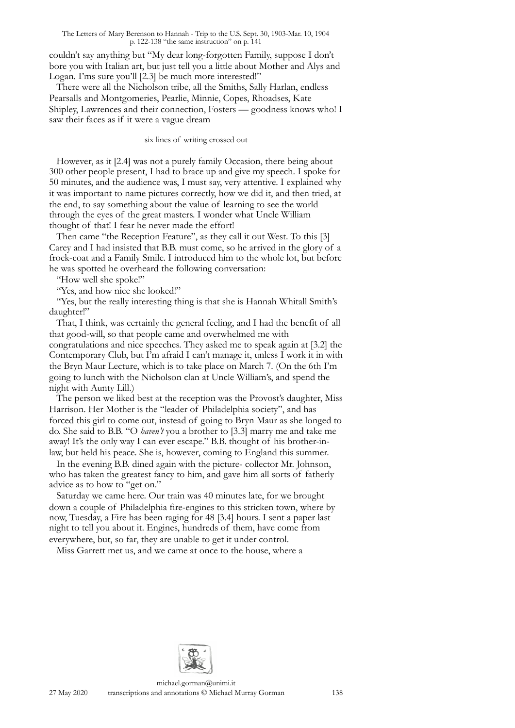couldn't say anything but "My dear long-forgotten Family, suppose I don't bore you with Italian art, but just tell you a little about Mother and Alys and Logan. I'ms sure you'll [2.3] be much more interested!"

There were all the Nicholson tribe, all the Smiths, Sally Harlan, endless Pearsalls and Montgomeries, Pearlie, Minnie, Copes, Rhoadses, Kate Shipley, Lawrences and their connection, Fosters — goodness knows who! I saw their faces as if it were a vague dream

#### six lines of writing crossed out

However, as it [2.4] was not a purely family Occasion, there being about 300 other people present, I had to brace up and give my speech. I spoke for 50 minutes, and the audience was, I must say, very attentive. I explained why it was important to name pictures correctly, how we did it, and then tried, at the end, to say something about the value of learning to see the world through the eyes of the great masters. I wonder what Uncle William thought of that! I fear he never made the effort!

Then came "the Reception Feature", as they call it out West. To this [3] Carey and I had insisted that B.B. must come, so he arrived in the glory of a frock-coat and a Family Smile. I introduced him to the whole lot, but before he was spotted he overheard the following conversation:

"How well she spoke!"

"Yes, and how nice she looked!"

"Yes, but the really interesting thing is that she is Hannah Whitall Smith's daughter!"

That, I think, was certainly the general feeling, and I had the benefit of all that good-will, so that people came and overwhelmed me with congratulations and nice speeches. They asked me to speak again at [3.2] the Contemporary Club, but I'm afraid I can't manage it, unless I work it in with the Bryn Maur Lecture, which is to take place on March 7. (On the 6th I'm going to lunch with the Nicholson clan at Uncle William's, and spend the night with Aunty Lill.)

The person we liked best at the reception was the Provost's daughter, Miss Harrison. Her Mother is the "leader of Philadelphia society", and has forced this girl to come out, instead of going to Bryn Maur as she longed to do. She said to B.B. "O *haven't* you a brother to [3.3] marry me and take me away! It's the only way I can ever escape." B.B. thought of his brother-inlaw, but held his peace. She is, however, coming to England this summer.

In the evening B.B. dined again with the picture- collector Mr. Johnson, who has taken the greatest fancy to him, and gave him all sorts of fatherly advice as to how to "get on."

Saturday we came here. Our train was 40 minutes late, for we brought down a couple of Philadelphia fire-engines to this stricken town, where by now, Tuesday, a Fire has been raging for 48 [3.4] hours. I sent a paper last night to tell you about it. Engines, hundreds of them, have come from everywhere, but, so far, they are unable to get it under control.

Miss Garrett met us, and we came at once to the house, where a

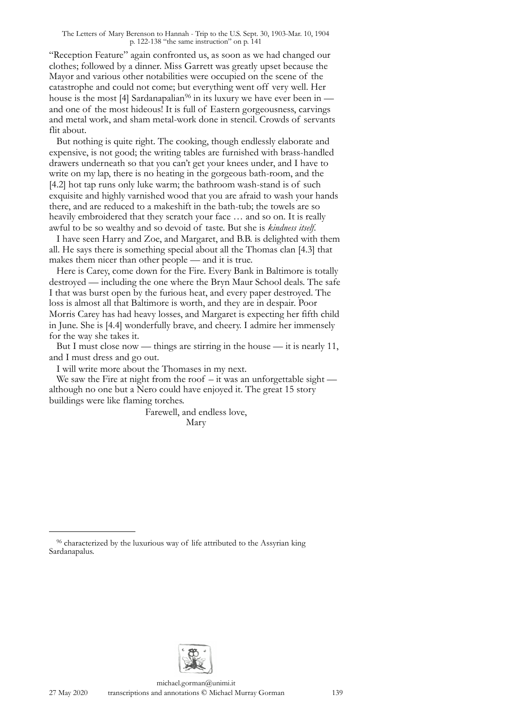"Reception Feature" again confronted us, as soon as we had changed our clothes; followed by a dinner. Miss Garrett was greatly upset because the Mayor and various other notabilities were occupied on the scene of the catastrophe and could not come; but everything went off very well. Her house is the most [4] Sardanapalian<sup>96</sup> in its luxury we have ever been in and one of the most hideous! It is full of Eastern gorgeousness, carvings and metal work, and sham metal-work done in stencil. Crowds of servants flit about.

But nothing is quite right. The cooking, though endlessly elaborate and expensive, is not good; the writing tables are furnished with brass-handled drawers underneath so that you can't get your knees under, and I have to write on my lap, there is no heating in the gorgeous bath-room, and the [4.2] hot tap runs only luke warm; the bathroom wash-stand is of such exquisite and highly varnished wood that you are afraid to wash your hands there, and are reduced to a makeshift in the bath-tub; the towels are so heavily embroidered that they scratch your face … and so on. It is really awful to be so wealthy and so devoid of taste. But she is *kindness itself.*

I have seen Harry and Zoe, and Margaret, and B.B. is delighted with them all. He says there is something special about all the Thomas clan [4.3] that makes them nicer than other people — and it is true.

Here is Carey, come down for the Fire. Every Bank in Baltimore is totally destroyed — including the one where the Bryn Maur School deals. The safe I that was burst open by the furious heat, and every paper destroyed. The loss is almost all that Baltimore is worth, and they are in despair. Poor Morris Carey has had heavy losses, and Margaret is expecting her fifth child in June. She is [4.4] wonderfully brave, and cheery. I admire her immensely for the way she takes it.

But I must close now — things are stirring in the house — it is nearly 11, and I must dress and go out.

I will write more about the Thomases in my next.

We saw the Fire at night from the roof  $-$  it was an unforgettable sight  $$ although no one but a Nero could have enjoyed it. The great 15 story buildings were like flaming torches.

> Farewell, and endless love, Mary



<span id="page-17-0"></span><sup>&</sup>lt;sup>96</sup> characterized by the luxurious way of life attributed to the Assyrian king Sardanapalus.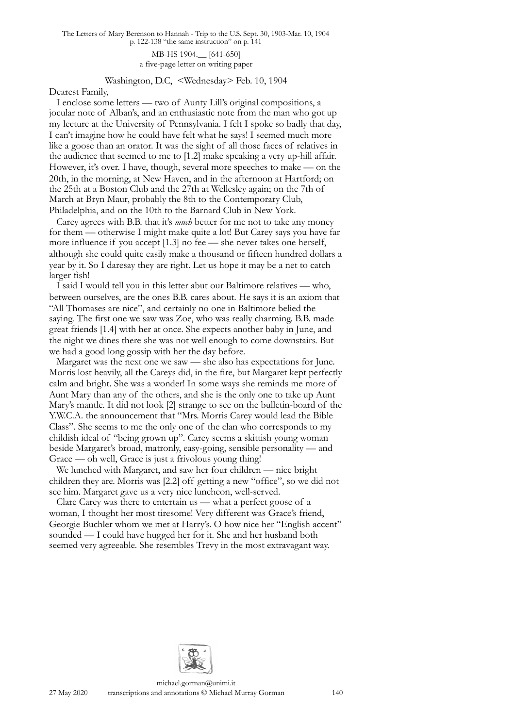MB-HS 1904.\_\_ [641-650] a five-page letter on writing paper

## Washington, D.C, <Wednesday> Feb. 10, 1904

Dearest Family,

I enclose some letters — two of Aunty Lill's original compositions, a jocular note of Alban's, and an enthusiastic note from the man who got up my lecture at the University of Pennsylvania. I felt I spoke so badly that day, I can't imagine how he could have felt what he says! I seemed much more like a goose than an orator. It was the sight of all those faces of relatives in the audience that seemed to me to [1.2] make speaking a very up-hill affair. However, it's over. I have, though, several more speeches to make — on the 20th, in the morning, at New Haven, and in the afternoon at Hartford; on the 25th at a Boston Club and the 27th at Wellesley again; on the 7th of March at Bryn Maur, probably the 8th to the Contemporary Club, Philadelphia, and on the 10th to the Barnard Club in New York.

Carey agrees with B.B. that it's *much* better for me not to take any money for them — otherwise I might make quite a lot! But Carey says you have far more influence if you accept [1.3] no fee — she never takes one herself, although she could quite easily make a thousand or fifteen hundred dollars a year by it. So I daresay they are right. Let us hope it may be a net to catch larger fish!

I said I would tell you in this letter abut our Baltimore relatives — who, between ourselves, are the ones B.B. cares about. He says it is an axiom that "All Thomases are nice", and certainly no one in Baltimore belied the saying. The first one we saw was Zoe, who was really charming. B.B. made great friends [1.4] with her at once. She expects another baby in June, and the night we dines there she was not well enough to come downstairs. But we had a good long gossip with her the day before.

Margaret was the next one we saw — she also has expectations for June. Morris lost heavily, all the Careys did, in the fire, but Margaret kept perfectly calm and bright. She was a wonder! In some ways she reminds me more of Aunt Mary than any of the others, and she is the only one to take up Aunt Mary's mantle. It did not look [2] strange to see on the bulletin-board of the Y.W.C.A. the announcement that "Mrs. Morris Carey would lead the Bible Class". She seems to me the only one of the clan who corresponds to my childish ideal of "being grown up". Carey seems a skittish young woman beside Margaret's broad, matronly, easy-going, sensible personality — and Grace — oh well, Grace is just a frivolous young thing!

We lunched with Margaret, and saw her four children — nice bright children they are. Morris was [2.2] off getting a new "office", so we did not see him. Margaret gave us a very nice luncheon, well-served.

Clare Carey was there to entertain us — what a perfect goose of a woman, I thought her most tiresome! Very different was Grace's friend, Georgie Buchler whom we met at Harry's. O how nice her "English accent" sounded — I could have hugged her for it. She and her husband both seemed very agreeable. She resembles Trevy in the most extravagant way.

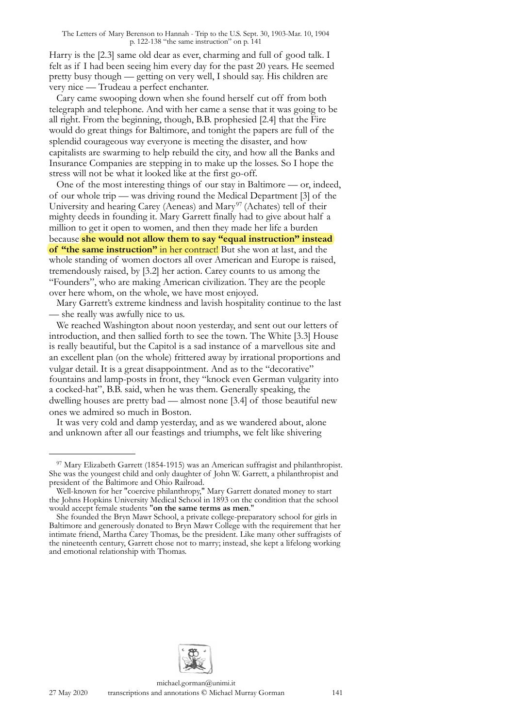Harry is the [2.3] same old dear as ever, charming and full of good talk. I felt as if I had been seeing him every day for the past 20 years. He seemed pretty busy though — getting on very well, I should say. His children are very nice — Trudeau a perfect enchanter.

Cary came swooping down when she found herself cut off from both telegraph and telephone. And with her came a sense that it was going to be all right. From the beginning, though, B.B. prophesied [2.4] that the Fire would do great things for Baltimore, and tonight the papers are full of the splendid courageous way everyone is meeting the disaster, and how capitalists are swarming to help rebuild the city, and how all the Banks and Insurance Companies are stepping in to make up the losses. So I hope the stress will not be what it looked like at the first go-off.

One of the most interesting things of our stay in Baltimore — or, indeed, of our whole trip — was driving round the Medical Department [3] of the University and hearing Carey (Aeneas) and Mary<sup>[97](#page-19-0)</sup> (Achates) tell of their mighty deeds in founding it. Mary Garrett finally had to give about half a million to get it open to women, and then they made her life a burden because **she would not allow them to say "equal instruction" instead of "the same instruction"** in her contract! But she won at last, and the whole standing of women doctors all over American and Europe is raised, tremendously raised, by [3.2] her action. Carey counts to us among the "Founders", who are making American civilization. They are the people over here whom, on the whole, we have most enjoyed.

Mary Garrett's extreme kindness and lavish hospitality continue to the last — she really was awfully nice to us.

We reached Washington about noon yesterday, and sent out our letters of introduction, and then sallied forth to see the town. The White [3.3] House is really beautiful, but the Capitol is a sad instance of a marvellous site and an excellent plan (on the whole) frittered away by irrational proportions and vulgar detail. It is a great disappointment. And as to the "decorative" fountains and lamp-posts in front, they "knock even German vulgarity into a cocked-hat", B.B. said, when he was them. Generally speaking, the dwelling houses are pretty bad — almost none [3.4] of those beautiful new ones we admired so much in Boston.

It was very cold and damp yesterday, and as we wandered about, alone and unknown after all our feastings and triumphs, we felt like shivering



<span id="page-19-0"></span><sup>97</sup> Mary Elizabeth Garrett (1854-1915) was an American suffragist and philanthropist. She was the youngest child and only daughter of John W. Garrett, a philanthropist and president of the Baltimore and Ohio Railroad.

Well-known for her "coercive philanthropy," Mary Garrett donated money to start the Johns Hopkins University Medical School in 1893 on the condition that the school would accept female students "**on the same terms as men**."

She founded the Bryn Mawr School, a private college-preparatory school for girls in Baltimore and generously donated to Bryn Mawr College with the requirement that her intimate friend, Martha Carey Thomas, be the president. Like many other suffragists of the nineteenth century, Garrett chose not to marry; instead, she kept a lifelong working and emotional relationship with Thomas.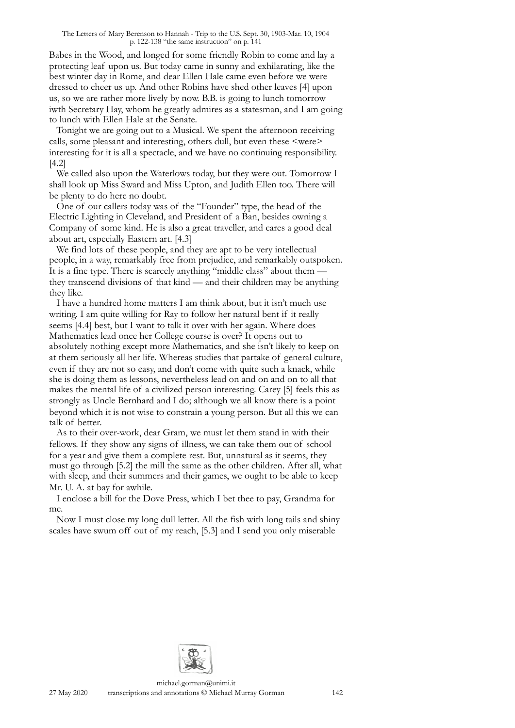Babes in the Wood, and longed for some friendly Robin to come and lay a protecting leaf upon us. But today came in sunny and exhilarating, like the best winter day in Rome, and dear Ellen Hale came even before we were dressed to cheer us up. And other Robins have shed other leaves [4] upon us, so we are rather more lively by now. B.B. is going to lunch tomorrow iwth Secretary Hay, whom he greatly admires as a statesman, and I am going to lunch with Ellen Hale at the Senate.

Tonight we are going out to a Musical. We spent the afternoon receiving calls, some pleasant and interesting, others dull, but even these <were> interesting for it is all a spectacle, and we have no continuing responsibility. [4.2]

We called also upon the Waterlows today, but they were out. Tomorrow I shall look up Miss Sward and Miss Upton, and Judith Ellen too. There will be plenty to do here no doubt.

One of our callers today was of the "Founder" type, the head of the Electric Lighting in Cleveland, and President of a Ban, besides owning a Company of some kind. He is also a great traveller, and cares a good deal about art, especially Eastern art. [4.3]

We find lots of these people, and they are apt to be very intellectual people, in a way, remarkably free from prejudice, and remarkably outspoken. It is a fine type. There is scarcely anything "middle class" about them they transcend divisions of that kind — and their children may be anything they like.

I have a hundred home matters I am think about, but it isn't much use writing. I am quite willing for Ray to follow her natural bent if it really seems [4.4] best, but I want to talk it over with her again. Where does Mathematics lead once her College course is over? It opens out to absolutely nothing except more Mathematics, and she isn't likely to keep on at them seriously all her life. Whereas studies that partake of general culture, even if they are not so easy, and don't come with quite such a knack, while she is doing them as lessons, nevertheless lead on and on and on to all that makes the mental life of a civilized person interesting. Carey [5] feels this as strongly as Uncle Bernhard and I do; although we all know there is a point beyond which it is not wise to constrain a young person. But all this we can talk of better.

As to their over-work, dear Gram, we must let them stand in with their fellows. If they show any signs of illness, we can take them out of school for a year and give them a complete rest. But, unnatural as it seems, they must go through [5.2] the mill the same as the other children. After all, what with sleep, and their summers and their games, we ought to be able to keep Mr. U. A. at bay for awhile.

I enclose a bill for the Dove Press, which I bet thee to pay, Grandma for me.

Now I must close my long dull letter. All the fish with long tails and shiny scales have swum off out of my reach, [5.3] and I send you only miserable